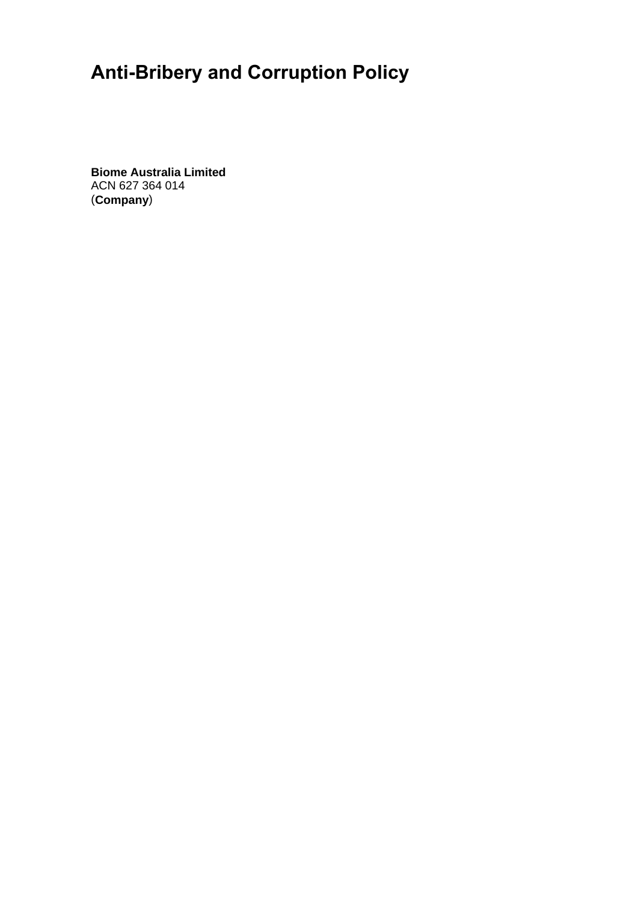# **Anti-Bribery and Corruption Policy**

**Biome Australia Limited**  ACN 627 364 014 (**Company**)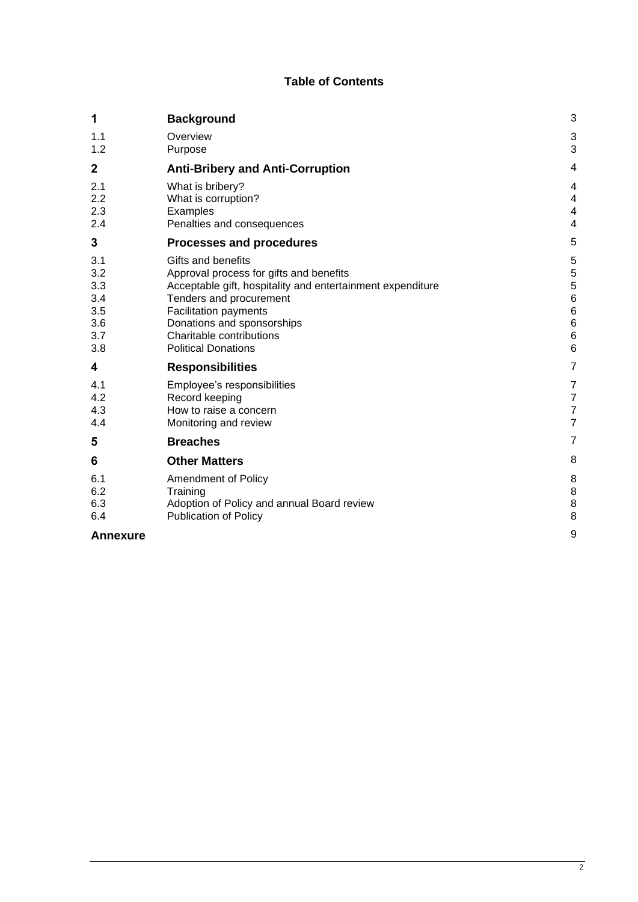# **Table of Contents**

| 1                                                    | <b>Background</b>                                                                                                                                                                                                                                                       | 3                                          |
|------------------------------------------------------|-------------------------------------------------------------------------------------------------------------------------------------------------------------------------------------------------------------------------------------------------------------------------|--------------------------------------------|
| 1.1<br>1.2                                           | Overview<br>Purpose                                                                                                                                                                                                                                                     | $\mathbf{3}$<br>3                          |
| $\mathbf 2$                                          | <b>Anti-Bribery and Anti-Corruption</b>                                                                                                                                                                                                                                 | 4                                          |
| 2.1<br>2.2<br>2.3<br>2.4                             | What is bribery?<br>What is corruption?<br>Examples<br>Penalties and consequences                                                                                                                                                                                       | 4<br>4<br>4<br>4                           |
| 3                                                    | Processes and procedures                                                                                                                                                                                                                                                | 5                                          |
| 3.1<br>3.2<br>3.3<br>3.4<br>3.5<br>3.6<br>3.7<br>3.8 | Gifts and benefits<br>Approval process for gifts and benefits<br>Acceptable gift, hospitality and entertainment expenditure<br>Tenders and procurement<br>Facilitation payments<br>Donations and sponsorships<br>Charitable contributions<br><b>Political Donations</b> | 5<br>5<br>5<br>6<br>6<br>6<br>6<br>6       |
| 4                                                    | <b>Responsibilities</b>                                                                                                                                                                                                                                                 | 7                                          |
| 4.1<br>4.2<br>4.3<br>4.4                             | Employee's responsibilities<br>Record keeping<br>How to raise a concern<br>Monitoring and review                                                                                                                                                                        | 7<br>$\overline{7}$<br>$\overline{7}$<br>7 |
| 5                                                    | <b>Breaches</b>                                                                                                                                                                                                                                                         | 7                                          |
| 6                                                    | <b>Other Matters</b>                                                                                                                                                                                                                                                    | 8                                          |
| 6.1<br>6.2<br>6.3<br>6.4                             | Amendment of Policy<br>Training<br>Adoption of Policy and annual Board review<br><b>Publication of Policy</b>                                                                                                                                                           | 8<br>8<br>8<br>8                           |
| <b>Annexure</b>                                      |                                                                                                                                                                                                                                                                         | g                                          |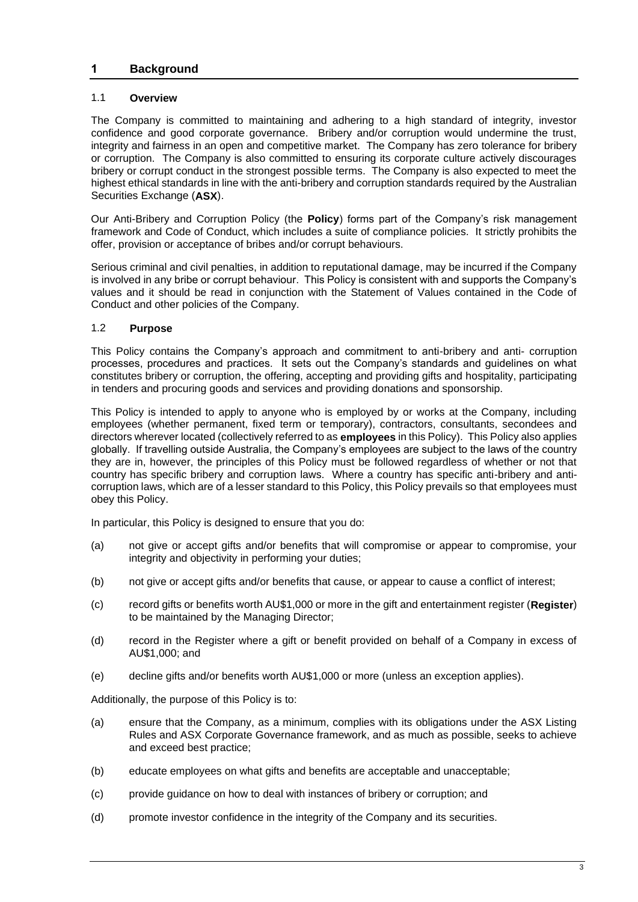## **1 Background**

## 1.1 **Overview**

The Company is committed to maintaining and adhering to a high standard of integrity, investor confidence and good corporate governance. Bribery and/or corruption would undermine the trust, integrity and fairness in an open and competitive market. The Company has zero tolerance for bribery or corruption. The Company is also committed to ensuring its corporate culture actively discourages bribery or corrupt conduct in the strongest possible terms. The Company is also expected to meet the highest ethical standards in line with the anti-bribery and corruption standards required by the Australian Securities Exchange (**ASX**).

Our Anti-Bribery and Corruption Policy (the **Policy**) forms part of the Company's risk management framework and Code of Conduct, which includes a suite of compliance policies. It strictly prohibits the offer, provision or acceptance of bribes and/or corrupt behaviours.

Serious criminal and civil penalties, in addition to reputational damage, may be incurred if the Company is involved in any bribe or corrupt behaviour. This Policy is consistent with and supports the Company's values and it should be read in conjunction with the Statement of Values contained in the Code of Conduct and other policies of the Company.

## 1.2 **Purpose**

This Policy contains the Company's approach and commitment to anti-bribery and anti- corruption processes, procedures and practices. It sets out the Company's standards and guidelines on what constitutes bribery or corruption, the offering, accepting and providing gifts and hospitality, participating in tenders and procuring goods and services and providing donations and sponsorship.

This Policy is intended to apply to anyone who is employed by or works at the Company, including employees (whether permanent, fixed term or temporary), contractors, consultants, secondees and directors wherever located (collectively referred to as **employees** in this Policy). This Policy also applies globally. If travelling outside Australia, the Company's employees are subject to the laws of the country they are in, however, the principles of this Policy must be followed regardless of whether or not that country has specific bribery and corruption laws. Where a country has specific anti-bribery and anticorruption laws, which are of a lesser standard to this Policy, this Policy prevails so that employees must obey this Policy.

In particular, this Policy is designed to ensure that you do:

- (a) not give or accept gifts and/or benefits that will compromise or appear to compromise, your integrity and objectivity in performing your duties;
- (b) not give or accept gifts and/or benefits that cause, or appear to cause a conflict of interest;
- (c) record gifts or benefits worth AU\$1,000 or more in the gift and entertainment register (**Register**) to be maintained by the Managing Director;
- (d) record in the Register where a gift or benefit provided on behalf of a Company in excess of AU\$1,000; and
- (e) decline gifts and/or benefits worth AU\$1,000 or more (unless an exception applies).

Additionally, the purpose of this Policy is to:

- (a) ensure that the Company, as a minimum, complies with its obligations under the ASX Listing Rules and ASX Corporate Governance framework, and as much as possible, seeks to achieve and exceed best practice;
- (b) educate employees on what gifts and benefits are acceptable and unacceptable;
- (c) provide guidance on how to deal with instances of bribery or corruption; and
- (d) promote investor confidence in the integrity of the Company and its securities.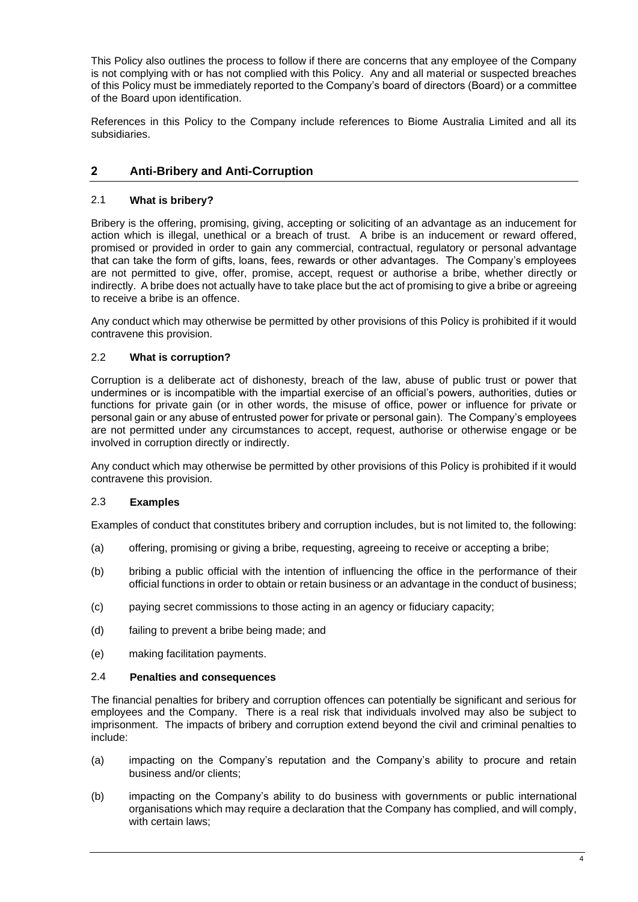This Policy also outlines the process to follow if there are concerns that any employee of the Company is not complying with or has not complied with this Policy. Any and all material or suspected breaches of this Policy must be immediately reported to the Company's board of directors (Board) or a committee of the Board upon identification.

References in this Policy to the Company include references to Biome Australia Limited and all its subsidiaries.

# **2 Anti-Bribery and Anti-Corruption**

## 2.1 **What is bribery?**

Bribery is the offering, promising, giving, accepting or soliciting of an advantage as an inducement for action which is illegal, unethical or a breach of trust. A bribe is an inducement or reward offered, promised or provided in order to gain any commercial, contractual, regulatory or personal advantage that can take the form of gifts, loans, fees, rewards or other advantages. The Company's employees are not permitted to give, offer, promise, accept, request or authorise a bribe, whether directly or indirectly. A bribe does not actually have to take place but the act of promising to give a bribe or agreeing to receive a bribe is an offence.

Any conduct which may otherwise be permitted by other provisions of this Policy is prohibited if it would contravene this provision.

## 2.2 **What is corruption?**

Corruption is a deliberate act of dishonesty, breach of the law, abuse of public trust or power that undermines or is incompatible with the impartial exercise of an official's powers, authorities, duties or functions for private gain (or in other words, the misuse of office, power or influence for private or personal gain or any abuse of entrusted power for private or personal gain). The Company's employees are not permitted under any circumstances to accept, request, authorise or otherwise engage or be involved in corruption directly or indirectly.

Any conduct which may otherwise be permitted by other provisions of this Policy is prohibited if it would contravene this provision.

## 2.3 **Examples**

Examples of conduct that constitutes bribery and corruption includes, but is not limited to, the following:

- (a) offering, promising or giving a bribe, requesting, agreeing to receive or accepting a bribe;
- (b) bribing a public official with the intention of influencing the office in the performance of their official functions in order to obtain or retain business or an advantage in the conduct of business;
- (c) paying secret commissions to those acting in an agency or fiduciary capacity;
- (d) failing to prevent a bribe being made; and
- (e) making facilitation payments.

#### 2.4 **Penalties and consequences**

The financial penalties for bribery and corruption offences can potentially be significant and serious for employees and the Company. There is a real risk that individuals involved may also be subject to imprisonment. The impacts of bribery and corruption extend beyond the civil and criminal penalties to include:

- (a) impacting on the Company's reputation and the Company's ability to procure and retain business and/or clients;
- (b) impacting on the Company's ability to do business with governments or public international organisations which may require a declaration that the Company has complied, and will comply, with certain laws;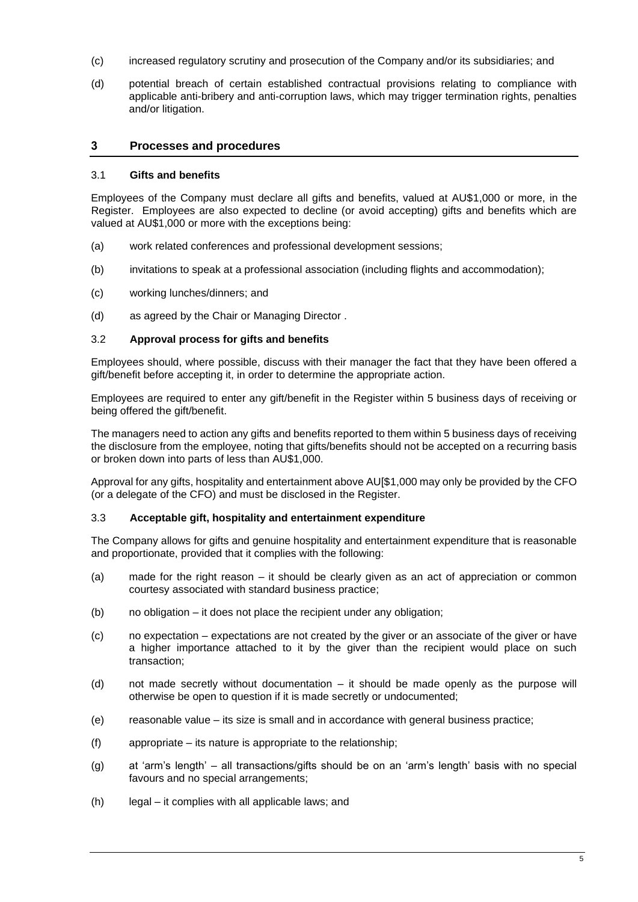- (c) increased regulatory scrutiny and prosecution of the Company and/or its subsidiaries; and
- (d) potential breach of certain established contractual provisions relating to compliance with applicable anti-bribery and anti-corruption laws, which may trigger termination rights, penalties and/or litigation.

## **3 Processes and procedures**

## 3.1 **Gifts and benefits**

Employees of the Company must declare all gifts and benefits, valued at AU\$1,000 or more, in the Register. Employees are also expected to decline (or avoid accepting) gifts and benefits which are valued at AU\$1,000 or more with the exceptions being:

- (a) work related conferences and professional development sessions;
- (b) invitations to speak at a professional association (including flights and accommodation);
- (c) working lunches/dinners; and
- (d) as agreed by the Chair or Managing Director .

#### 3.2 **Approval process for gifts and benefits**

Employees should, where possible, discuss with their manager the fact that they have been offered a gift/benefit before accepting it, in order to determine the appropriate action.

Employees are required to enter any gift/benefit in the Register within 5 business days of receiving or being offered the gift/benefit.

The managers need to action any gifts and benefits reported to them within 5 business days of receiving the disclosure from the employee, noting that gifts/benefits should not be accepted on a recurring basis or broken down into parts of less than AU\$1,000.

Approval for any gifts, hospitality and entertainment above AU[\$1,000 may only be provided by the CFO (or a delegate of the CFO) and must be disclosed in the Register.

#### 3.3 **Acceptable gift, hospitality and entertainment expenditure**

The Company allows for gifts and genuine hospitality and entertainment expenditure that is reasonable and proportionate, provided that it complies with the following:

- (a) made for the right reason it should be clearly given as an act of appreciation or common courtesy associated with standard business practice;
- (b) no obligation it does not place the recipient under any obligation;
- (c) no expectation expectations are not created by the giver or an associate of the giver or have a higher importance attached to it by the giver than the recipient would place on such transaction;
- (d) not made secretly without documentation it should be made openly as the purpose will otherwise be open to question if it is made secretly or undocumented;
- (e) reasonable value its size is small and in accordance with general business practice;
- (f) appropriate its nature is appropriate to the relationship;
- (g) at 'arm's length' all transactions/gifts should be on an 'arm's length' basis with no special favours and no special arrangements;
- (h) legal it complies with all applicable laws; and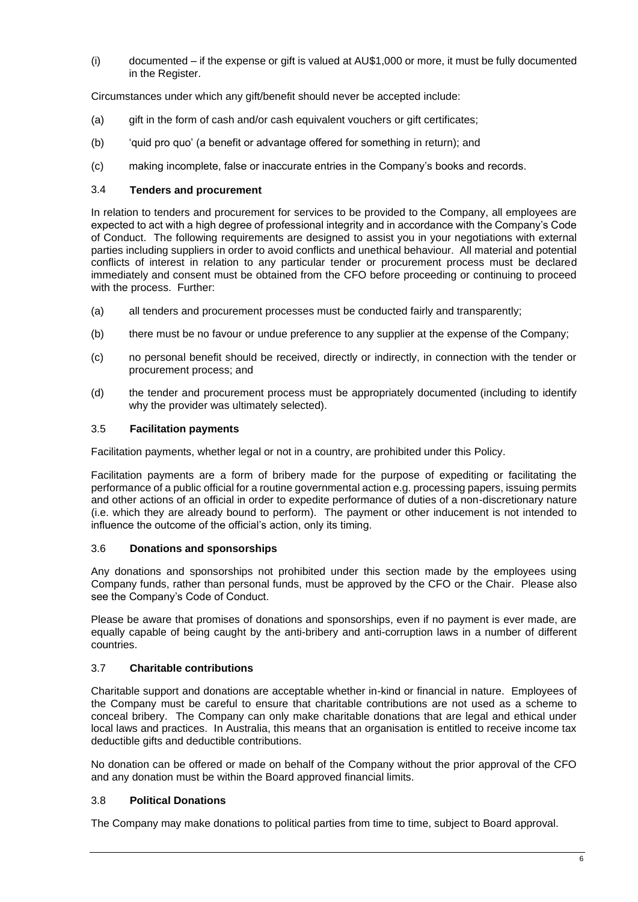(i) documented – if the expense or gift is valued at AU\$1,000 or more, it must be fully documented in the Register.

Circumstances under which any gift/benefit should never be accepted include:

- (a) gift in the form of cash and/or cash equivalent vouchers or gift certificates;
- (b) 'quid pro quo' (a benefit or advantage offered for something in return); and
- (c) making incomplete, false or inaccurate entries in the Company's books and records.

## 3.4 **Tenders and procurement**

In relation to tenders and procurement for services to be provided to the Company, all employees are expected to act with a high degree of professional integrity and in accordance with the Company's Code of Conduct. The following requirements are designed to assist you in your negotiations with external parties including suppliers in order to avoid conflicts and unethical behaviour. All material and potential conflicts of interest in relation to any particular tender or procurement process must be declared immediately and consent must be obtained from the CFO before proceeding or continuing to proceed with the process. Further:

- (a) all tenders and procurement processes must be conducted fairly and transparently;
- (b) there must be no favour or undue preference to any supplier at the expense of the Company;
- (c) no personal benefit should be received, directly or indirectly, in connection with the tender or procurement process; and
- (d) the tender and procurement process must be appropriately documented (including to identify why the provider was ultimately selected).

## 3.5 **Facilitation payments**

Facilitation payments, whether legal or not in a country, are prohibited under this Policy.

Facilitation payments are a form of bribery made for the purpose of expediting or facilitating the performance of a public official for a routine governmental action e.g. processing papers, issuing permits and other actions of an official in order to expedite performance of duties of a non-discretionary nature (i.e. which they are already bound to perform). The payment or other inducement is not intended to influence the outcome of the official's action, only its timing.

## 3.6 **Donations and sponsorships**

Any donations and sponsorships not prohibited under this section made by the employees using Company funds, rather than personal funds, must be approved by the CFO or the Chair. Please also see the Company's Code of Conduct.

Please be aware that promises of donations and sponsorships, even if no payment is ever made, are equally capable of being caught by the anti-bribery and anti-corruption laws in a number of different countries.

# 3.7 **Charitable contributions**

Charitable support and donations are acceptable whether in-kind or financial in nature. Employees of the Company must be careful to ensure that charitable contributions are not used as a scheme to conceal bribery. The Company can only make charitable donations that are legal and ethical under local laws and practices. In Australia, this means that an organisation is entitled to receive income tax deductible gifts and deductible contributions.

No donation can be offered or made on behalf of the Company without the prior approval of the CFO and any donation must be within the Board approved financial limits.

# 3.8 **Political Donations**

The Company may make donations to political parties from time to time, subject to Board approval.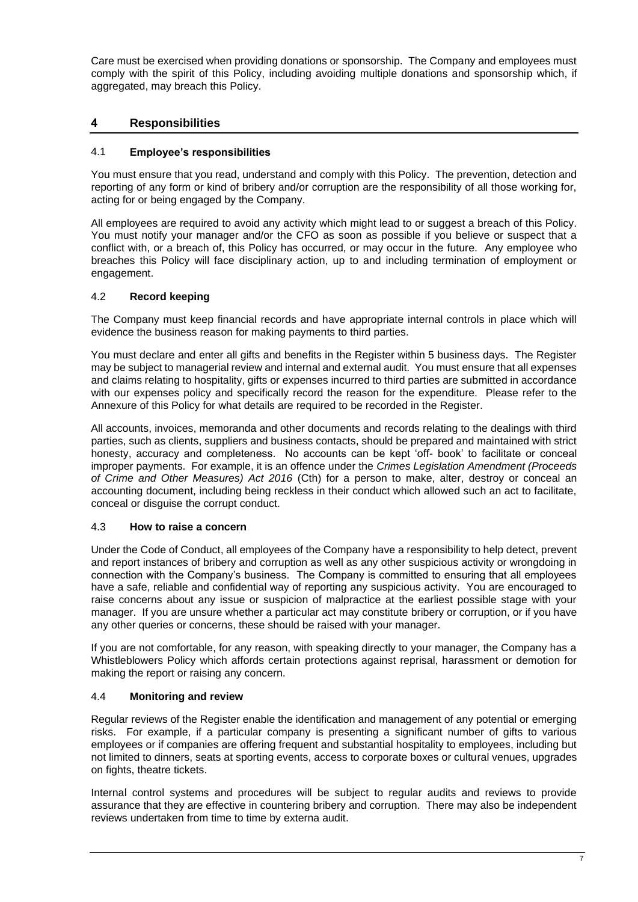Care must be exercised when providing donations or sponsorship. The Company and employees must comply with the spirit of this Policy, including avoiding multiple donations and sponsorship which, if aggregated, may breach this Policy.

# **4 Responsibilities**

## 4.1 **Employee's responsibilities**

You must ensure that you read, understand and comply with this Policy. The prevention, detection and reporting of any form or kind of bribery and/or corruption are the responsibility of all those working for, acting for or being engaged by the Company.

All employees are required to avoid any activity which might lead to or suggest a breach of this Policy. You must notify your manager and/or the CFO as soon as possible if you believe or suspect that a conflict with, or a breach of, this Policy has occurred, or may occur in the future. Any employee who breaches this Policy will face disciplinary action, up to and including termination of employment or engagement.

## 4.2 **Record keeping**

The Company must keep financial records and have appropriate internal controls in place which will evidence the business reason for making payments to third parties.

You must declare and enter all gifts and benefits in the Register within 5 business days. The Register may be subject to managerial review and internal and external audit. You must ensure that all expenses and claims relating to hospitality, gifts or expenses incurred to third parties are submitted in accordance with our expenses policy and specifically record the reason for the expenditure. Please refer to the Annexure of this Policy for what details are required to be recorded in the Register.

All accounts, invoices, memoranda and other documents and records relating to the dealings with third parties, such as clients, suppliers and business contacts, should be prepared and maintained with strict honesty, accuracy and completeness. No accounts can be kept 'off- book' to facilitate or conceal improper payments. For example, it is an offence under the *Crimes Legislation Amendment (Proceeds of Crime and Other Measures) Act 2016* (Cth) for a person to make, alter, destroy or conceal an accounting document, including being reckless in their conduct which allowed such an act to facilitate, conceal or disguise the corrupt conduct.

## 4.3 **How to raise a concern**

Under the Code of Conduct, all employees of the Company have a responsibility to help detect, prevent and report instances of bribery and corruption as well as any other suspicious activity or wrongdoing in connection with the Company's business. The Company is committed to ensuring that all employees have a safe, reliable and confidential way of reporting any suspicious activity. You are encouraged to raise concerns about any issue or suspicion of malpractice at the earliest possible stage with your manager. If you are unsure whether a particular act may constitute bribery or corruption, or if you have any other queries or concerns, these should be raised with your manager.

If you are not comfortable, for any reason, with speaking directly to your manager, the Company has a Whistleblowers Policy which affords certain protections against reprisal, harassment or demotion for making the report or raising any concern.

## 4.4 **Monitoring and review**

Regular reviews of the Register enable the identification and management of any potential or emerging risks. For example, if a particular company is presenting a significant number of gifts to various employees or if companies are offering frequent and substantial hospitality to employees, including but not limited to dinners, seats at sporting events, access to corporate boxes or cultural venues, upgrades on fights, theatre tickets.

Internal control systems and procedures will be subject to regular audits and reviews to provide assurance that they are effective in countering bribery and corruption. There may also be independent reviews undertaken from time to time by externa audit.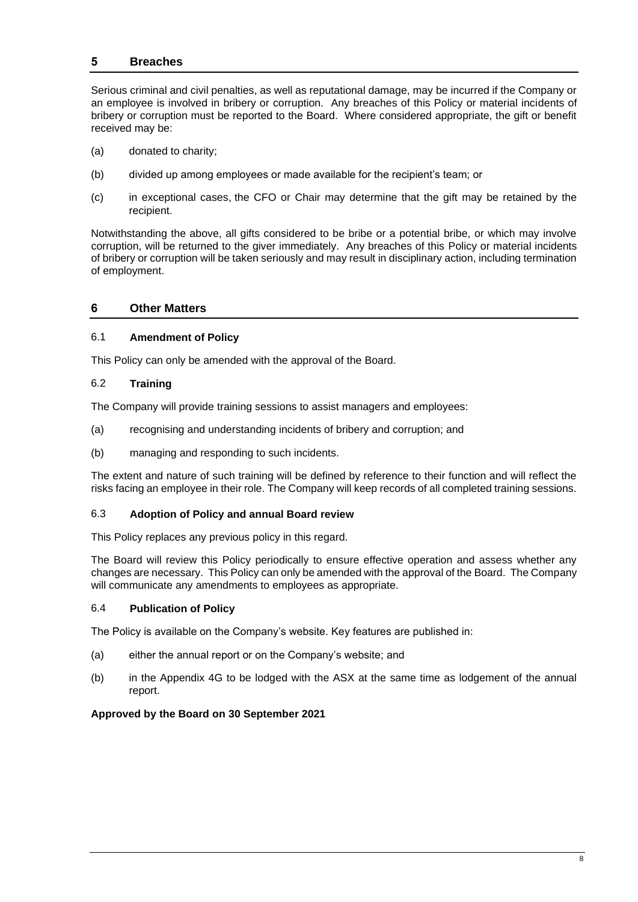## **5 Breaches**

Serious criminal and civil penalties, as well as reputational damage, may be incurred if the Company or an employee is involved in bribery or corruption. Any breaches of this Policy or material incidents of bribery or corruption must be reported to the Board. Where considered appropriate, the gift or benefit received may be:

- (a) donated to charity;
- (b) divided up among employees or made available for the recipient's team; or
- (c) in exceptional cases, the CFO or Chair may determine that the gift may be retained by the recipient.

Notwithstanding the above, all gifts considered to be bribe or a potential bribe, or which may involve corruption, will be returned to the giver immediately. Any breaches of this Policy or material incidents of bribery or corruption will be taken seriously and may result in disciplinary action, including termination of employment.

## **6 Other Matters**

#### 6.1 **Amendment of Policy**

This Policy can only be amended with the approval of the Board.

#### 6.2 **Training**

The Company will provide training sessions to assist managers and employees:

- (a) recognising and understanding incidents of bribery and corruption; and
- (b) managing and responding to such incidents.

The extent and nature of such training will be defined by reference to their function and will reflect the risks facing an employee in their role. The Company will keep records of all completed training sessions.

## 6.3 **Adoption of Policy and annual Board review**

This Policy replaces any previous policy in this regard.

The Board will review this Policy periodically to ensure effective operation and assess whether any changes are necessary. This Policy can only be amended with the approval of the Board. The Company will communicate any amendments to employees as appropriate.

## 6.4 **Publication of Policy**

The Policy is available on the Company's website. Key features are published in:

- (a) either the annual report or on the Company's website; and
- (b) in the Appendix 4G to be lodged with the ASX at the same time as lodgement of the annual report.

## **Approved by the Board on 30 September 2021**